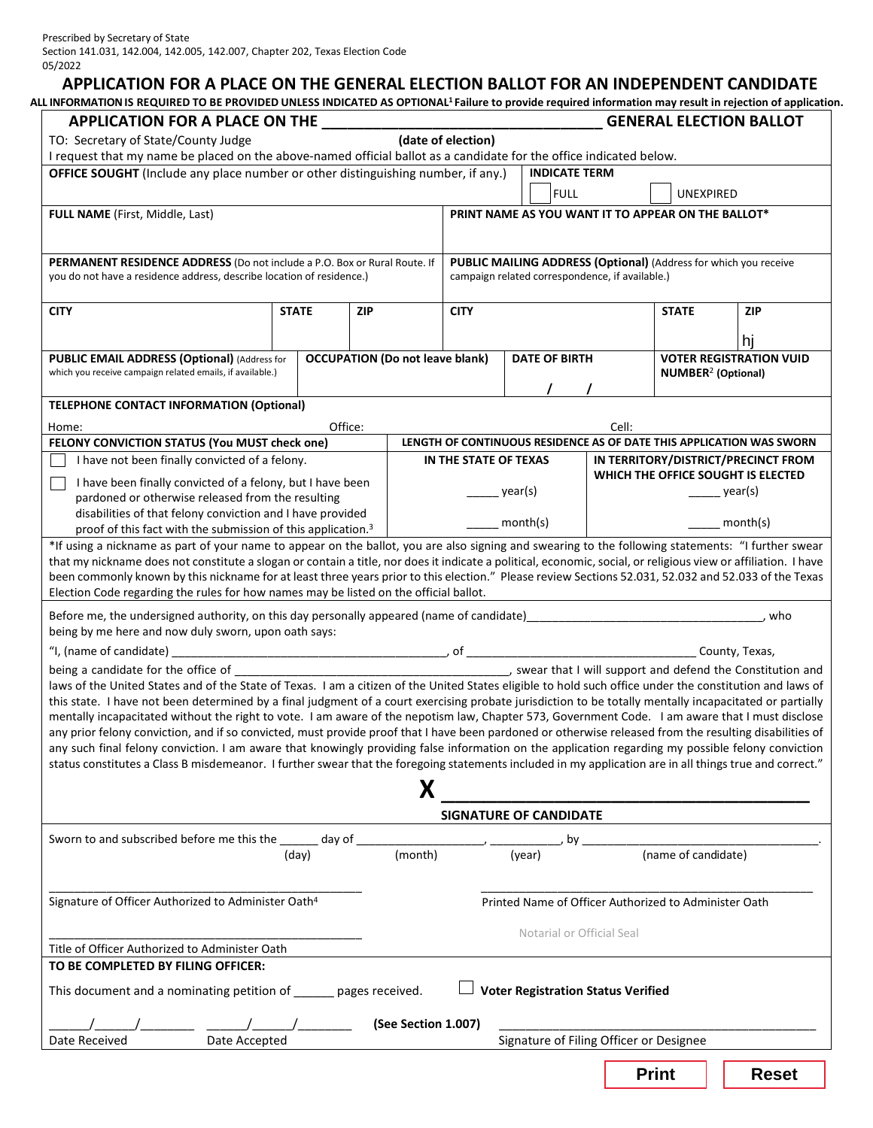# **APPLICATION FOR A PLACE ON THE GENERAL ELECTION BALLOT FOR AN INDEPENDENT CANDIDATE**

**ALL INFORMATIONIS REQUIRED TO BE PROVIDED UNLESS INDICATED AS OPTIONAL1 Failure to provide required information may result in rejection of application.**

| APPLICATION FOR A PLACE ON THE                                                                                                                                                                                                                                                                             |              |            |                                        |                       |                                                                                                                     |       |                                      | <b>GENERAL ELECTION BALLOT</b>                                       |  |  |
|------------------------------------------------------------------------------------------------------------------------------------------------------------------------------------------------------------------------------------------------------------------------------------------------------------|--------------|------------|----------------------------------------|-----------------------|---------------------------------------------------------------------------------------------------------------------|-------|--------------------------------------|----------------------------------------------------------------------|--|--|
| TO: Secretary of State/County Judge                                                                                                                                                                                                                                                                        |              |            |                                        | (date of election)    |                                                                                                                     |       |                                      |                                                                      |  |  |
| I request that my name be placed on the above-named official ballot as a candidate for the office indicated below.<br>OFFICE SOUGHT (Include any place number or other distinguishing number, if any.)                                                                                                     |              |            |                                        |                       | <b>INDICATE TERM</b>                                                                                                |       |                                      |                                                                      |  |  |
|                                                                                                                                                                                                                                                                                                            |              |            |                                        |                       | <b>FULL</b>                                                                                                         |       | <b>UNEXPIRED</b>                     |                                                                      |  |  |
| FULL NAME (First, Middle, Last)                                                                                                                                                                                                                                                                            |              |            |                                        |                       | PRINT NAME AS YOU WANT IT TO APPEAR ON THE BALLOT*                                                                  |       |                                      |                                                                      |  |  |
|                                                                                                                                                                                                                                                                                                            |              |            |                                        |                       |                                                                                                                     |       |                                      |                                                                      |  |  |
|                                                                                                                                                                                                                                                                                                            |              |            |                                        |                       |                                                                                                                     |       |                                      |                                                                      |  |  |
| PERMANENT RESIDENCE ADDRESS (Do not include a P.O. Box or Rural Route. If<br>you do not have a residence address, describe location of residence.)                                                                                                                                                         |              |            |                                        |                       | PUBLIC MAILING ADDRESS (Optional) (Address for which you receive<br>campaign related correspondence, if available.) |       |                                      |                                                                      |  |  |
| <b>CITY</b>                                                                                                                                                                                                                                                                                                | <b>STATE</b> | <b>ZIP</b> |                                        | <b>CITY</b>           |                                                                                                                     |       | <b>STATE</b>                         | <b>ZIP</b>                                                           |  |  |
|                                                                                                                                                                                                                                                                                                            |              |            |                                        |                       |                                                                                                                     |       |                                      |                                                                      |  |  |
|                                                                                                                                                                                                                                                                                                            |              |            |                                        |                       |                                                                                                                     |       |                                      | hi                                                                   |  |  |
| PUBLIC EMAIL ADDRESS (Optional) (Address for<br>which you receive campaign related emails, if available.)                                                                                                                                                                                                  |              |            | <b>OCCUPATION (Do not leave blank)</b> |                       | <b>DATE OF BIRTH</b>                                                                                                |       | <b>NUMBER<sup>2</sup></b> (Optional) | <b>VOTER REGISTRATION VUID</b>                                       |  |  |
|                                                                                                                                                                                                                                                                                                            |              |            |                                        |                       |                                                                                                                     |       |                                      |                                                                      |  |  |
| <b>TELEPHONE CONTACT INFORMATION (Optional)</b>                                                                                                                                                                                                                                                            |              |            |                                        |                       |                                                                                                                     |       |                                      |                                                                      |  |  |
| Home:                                                                                                                                                                                                                                                                                                      |              | Office:    |                                        |                       |                                                                                                                     | Cell: |                                      |                                                                      |  |  |
| FELONY CONVICTION STATUS (You MUST check one)                                                                                                                                                                                                                                                              |              |            |                                        |                       |                                                                                                                     |       |                                      | LENGTH OF CONTINUOUS RESIDENCE AS OF DATE THIS APPLICATION WAS SWORN |  |  |
| I have not been finally convicted of a felony.                                                                                                                                                                                                                                                             |              |            |                                        | IN THE STATE OF TEXAS |                                                                                                                     |       |                                      | IN TERRITORY/DISTRICT/PRECINCT FROM                                  |  |  |
| I have been finally convicted of a felony, but I have been                                                                                                                                                                                                                                                 |              |            |                                        |                       | year(s)                                                                                                             |       |                                      | WHICH THE OFFICE SOUGHT IS ELECTED<br>year(s)                        |  |  |
| pardoned or otherwise released from the resulting<br>disabilities of that felony conviction and I have provided                                                                                                                                                                                            |              |            |                                        |                       |                                                                                                                     |       |                                      |                                                                      |  |  |
| proof of this fact with the submission of this application. <sup>3</sup>                                                                                                                                                                                                                                   |              |            |                                        |                       | month(s)                                                                                                            |       |                                      | month(s)                                                             |  |  |
| *If using a nickname as part of your name to appear on the ballot, you are also signing and swearing to the following statements: "I further swear                                                                                                                                                         |              |            |                                        |                       |                                                                                                                     |       |                                      |                                                                      |  |  |
| that my nickname does not constitute a slogan or contain a title, nor does it indicate a political, economic, social, or religious view or affiliation. I have                                                                                                                                             |              |            |                                        |                       |                                                                                                                     |       |                                      |                                                                      |  |  |
| been commonly known by this nickname for at least three years prior to this election." Please review Sections 52.031, 52.032 and 52.033 of the Texas<br>Election Code regarding the rules for how names may be listed on the official ballot.                                                              |              |            |                                        |                       |                                                                                                                     |       |                                      |                                                                      |  |  |
| Before me, the undersigned authority, on this day personally appeared (name of candidate) [19] Decree the control of the state of candidate and the state of the state of the state of the state of the state of the state of                                                                              |              |            |                                        |                       |                                                                                                                     |       |                                      | who                                                                  |  |  |
| being by me here and now duly sworn, upon oath says:                                                                                                                                                                                                                                                       |              |            |                                        |                       |                                                                                                                     |       |                                      |                                                                      |  |  |
|                                                                                                                                                                                                                                                                                                            |              |            |                                        |                       |                                                                                                                     |       |                                      |                                                                      |  |  |
|                                                                                                                                                                                                                                                                                                            |              |            |                                        |                       |                                                                                                                     |       |                                      |                                                                      |  |  |
| laws of the United States and of the State of Texas. I am a citizen of the United States eligible to hold such office under the constitution and laws of                                                                                                                                                   |              |            |                                        |                       |                                                                                                                     |       |                                      |                                                                      |  |  |
| this state. I have not been determined by a final judgment of a court exercising probate jurisdiction to be totally mentally incapacitated or partially<br>mentally incapacitated without the right to vote. I am aware of the nepotism law, Chapter 573, Government Code. I am aware that I must disclose |              |            |                                        |                       |                                                                                                                     |       |                                      |                                                                      |  |  |
| any prior felony conviction, and if so convicted, must provide proof that I have been pardoned or otherwise released from the resulting disabilities of                                                                                                                                                    |              |            |                                        |                       |                                                                                                                     |       |                                      |                                                                      |  |  |
| any such final felony conviction. I am aware that knowingly providing false information on the application regarding my possible felony conviction                                                                                                                                                         |              |            |                                        |                       |                                                                                                                     |       |                                      |                                                                      |  |  |
| status constitutes a Class B misdemeanor. I further swear that the foregoing statements included in my application are in all things true and correct."                                                                                                                                                    |              |            |                                        |                       |                                                                                                                     |       |                                      |                                                                      |  |  |
|                                                                                                                                                                                                                                                                                                            |              |            | Χ                                      |                       |                                                                                                                     |       |                                      |                                                                      |  |  |
|                                                                                                                                                                                                                                                                                                            |              |            |                                        |                       | <b>SIGNATURE OF CANDIDATE</b>                                                                                       |       |                                      |                                                                      |  |  |
|                                                                                                                                                                                                                                                                                                            |              |            |                                        | , by                  |                                                                                                                     |       |                                      |                                                                      |  |  |
|                                                                                                                                                                                                                                                                                                            | (day)        |            | (month)                                |                       | (year)                                                                                                              |       | (name of candidate)                  |                                                                      |  |  |
|                                                                                                                                                                                                                                                                                                            |              |            |                                        |                       |                                                                                                                     |       |                                      |                                                                      |  |  |
| Signature of Officer Authorized to Administer Oath <sup>4</sup>                                                                                                                                                                                                                                            |              |            |                                        |                       | Printed Name of Officer Authorized to Administer Oath                                                               |       |                                      |                                                                      |  |  |
|                                                                                                                                                                                                                                                                                                            |              |            |                                        |                       |                                                                                                                     |       |                                      |                                                                      |  |  |
|                                                                                                                                                                                                                                                                                                            |              |            |                                        |                       | Notarial or Official Seal                                                                                           |       |                                      |                                                                      |  |  |
| Title of Officer Authorized to Administer Oath                                                                                                                                                                                                                                                             |              |            |                                        |                       |                                                                                                                     |       |                                      |                                                                      |  |  |
| TO BE COMPLETED BY FILING OFFICER:                                                                                                                                                                                                                                                                         |              |            |                                        |                       |                                                                                                                     |       |                                      |                                                                      |  |  |
| This document and a nominating petition of _____ pages received.                                                                                                                                                                                                                                           |              |            |                                        |                       | <b>Voter Registration Status Verified</b>                                                                           |       |                                      |                                                                      |  |  |
|                                                                                                                                                                                                                                                                                                            |              |            | (See Section 1.007)                    |                       |                                                                                                                     |       |                                      |                                                                      |  |  |
| Date Accepted<br>Date Received                                                                                                                                                                                                                                                                             |              |            |                                        |                       | Signature of Filing Officer or Designee                                                                             |       |                                      |                                                                      |  |  |
|                                                                                                                                                                                                                                                                                                            |              |            |                                        |                       |                                                                                                                     |       |                                      |                                                                      |  |  |
|                                                                                                                                                                                                                                                                                                            |              |            |                                        |                       |                                                                                                                     |       | <b>Print</b>                         | <b>Reset</b>                                                         |  |  |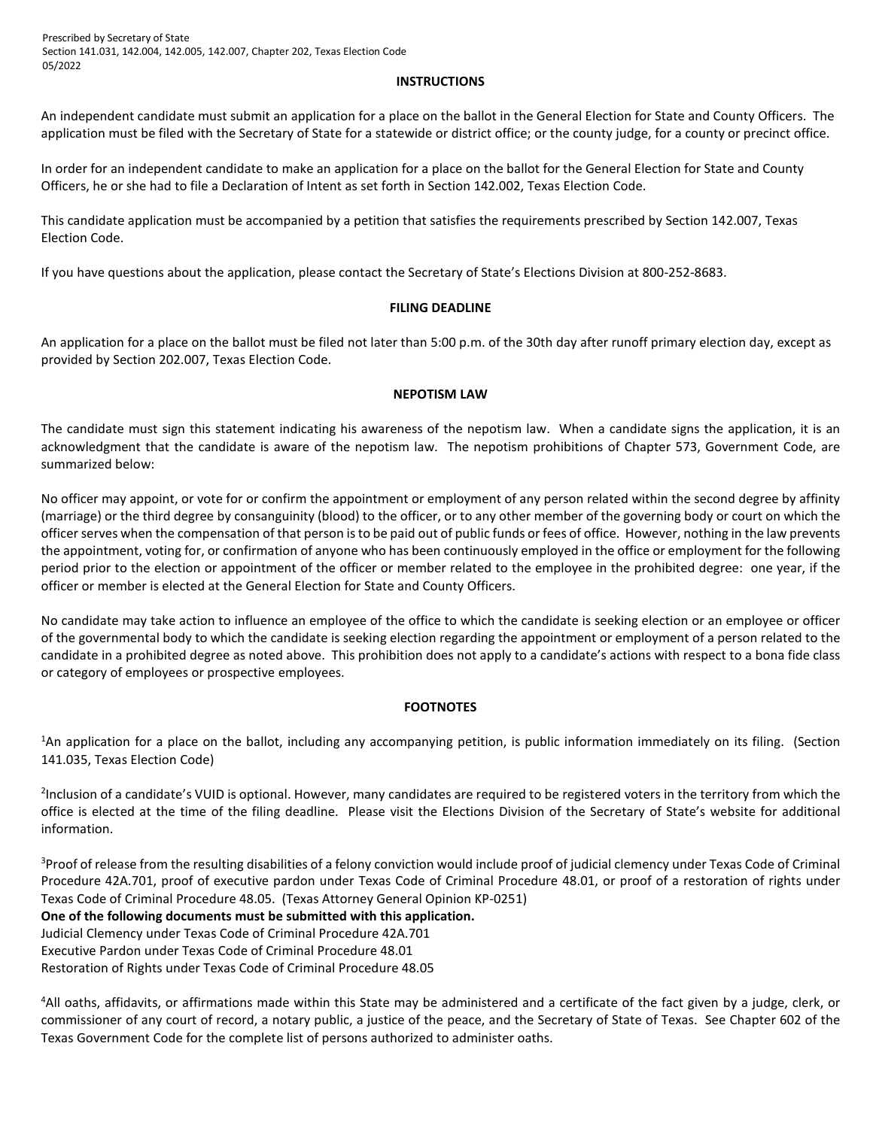Prescribed by Secretary of State Section 141.031, 142.004, 142.005, 142.007, Chapter 202, Texas Election Code 05/2022

#### **INSTRUCTIONS**

An independent candidate must submit an application for a place on the ballot in the General Election for State and County Officers. The application must be filed with the Secretary of State for a statewide or district office; or the county judge, for a county or precinct office.

In order for an independent candidate to make an application for a place on the ballot for the General Election for State and County Officers, he or she had to file a Declaration of Intent as set forth in Section 142.002, Texas Election Code.

This candidate application must be accompanied by a petition that satisfies the requirements prescribed by Section 142.007, Texas Election Code.

If you have questions about the application, please contact the Secretary of State's Elections Division at 800-252-8683.

# **FILING DEADLINE**

An application for a place on the ballot must be filed not later than 5:00 p.m. of the 30th day after runoff primary election day, except as provided by Section 202.007, Texas Election Code.

# **NEPOTISM LAW**

The candidate must sign this statement indicating his awareness of the nepotism law. When a candidate signs the application, it is an acknowledgment that the candidate is aware of the nepotism law. The nepotism prohibitions of Chapter 573, Government Code, are summarized below:

No officer may appoint, or vote for or confirm the appointment or employment of any person related within the second degree by affinity (marriage) or the third degree by consanguinity (blood) to the officer, or to any other member of the governing body or court on which the officer serves when the compensation of that person is to be paid out of public funds or fees of office. However, nothing in the law prevents the appointment, voting for, or confirmation of anyone who has been continuously employed in the office or employment for the following period prior to the election or appointment of the officer or member related to the employee in the prohibited degree: one year, if the officer or member is elected at the General Election for State and County Officers.

No candidate may take action to influence an employee of the office to which the candidate is seeking election or an employee or officer of the governmental body to which the candidate is seeking election regarding the appointment or employment of a person related to the candidate in a prohibited degree as noted above. This prohibition does not apply to a candidate's actions with respect to a bona fide class or category of employees or prospective employees.

# **FOOTNOTES**

<sup>1</sup>An application for a place on the ballot, including any accompanying petition, is public information immediately on its filing. (Section 141.035, Texas Election Code)

<sup>2</sup>Inclusion of a candidate's VUID is optional. However, many candidates are required to be registered voters in the territory from which the office is elected at the time of the filing deadline. Please visit the Elections Division of the Secretary of State's website for additional information.

<sup>3</sup>Proof of release from the resulting disabilities of a felony conviction would include proof of judicial clemency under Texas Code of Criminal Procedure 42A.701, proof of executive pardon under Texas Code of Criminal Procedure 48.01, or proof of a restoration of rights under Texas Code of Criminal Procedure 48.05. (Texas Attorney General Opinion KP-0251) **One of the following documents must be submitted with this application.**  Judicial Clemency under Texas Code of Criminal Procedure 42A.701 Executive Pardon under Texas Code of Criminal Procedure 48.01 Restoration of Rights under Texas Code of Criminal Procedure 48.05

<sup>4</sup>All oaths, affidavits, or affirmations made within this State may be administered and a certificate of the fact given by a judge, clerk, or commissioner of any court of record, a notary public, a justice of the peace, and the Secretary of State of Texas. See Chapter 602 of the Texas Government Code for the complete list of persons authorized to administer oaths.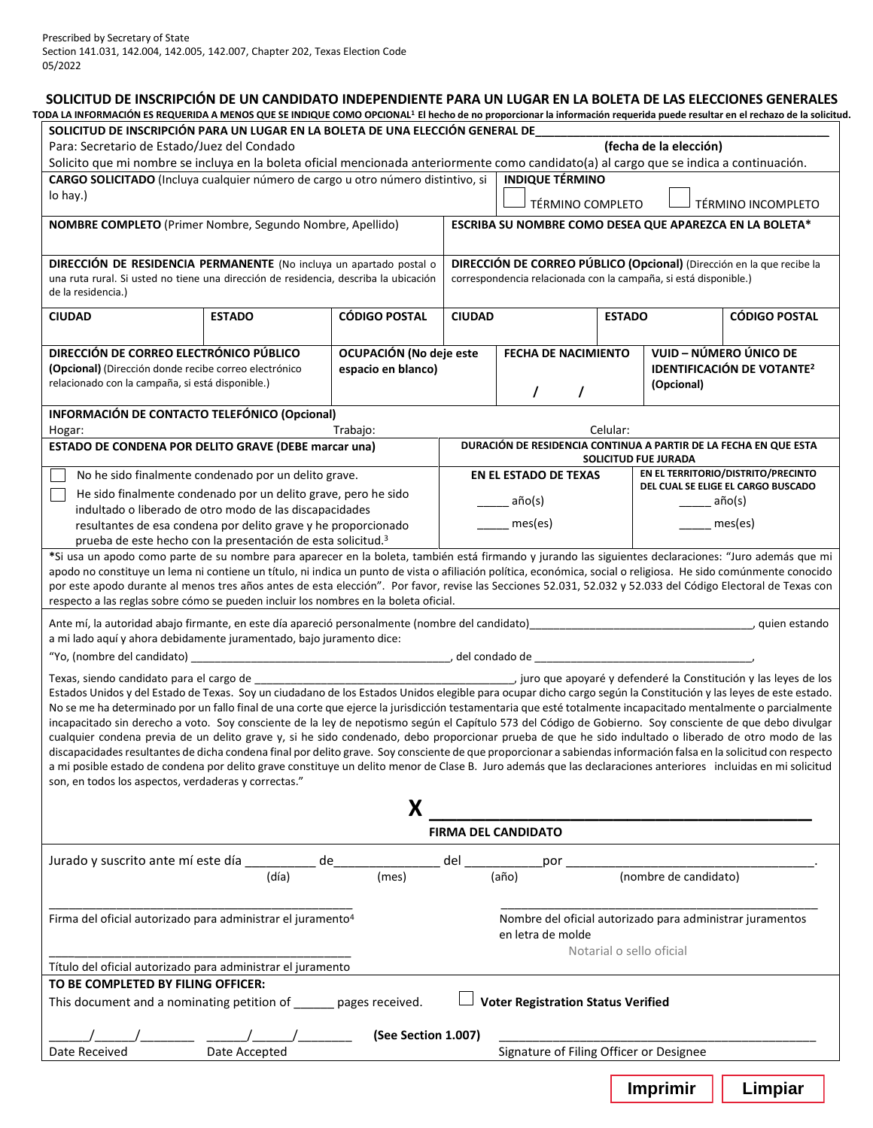|                                                                                                                                                                                                                                                                                                                                                                                                                                                                                                                                                                                                                                                                                                                                                                                                                                                                                                                                                                                                                                                                                                                                                                                                                                                                                                                                                                                  |       | SOLICITUD DE INSCRIPCIÓN PARA UN LUGAR EN LA BOLETA DE UNA ELECCIÓN GENERAL DE                                                                               |               |                                                                                |                          |                                                |                                                                                                                                                                                                                                                        |  |
|----------------------------------------------------------------------------------------------------------------------------------------------------------------------------------------------------------------------------------------------------------------------------------------------------------------------------------------------------------------------------------------------------------------------------------------------------------------------------------------------------------------------------------------------------------------------------------------------------------------------------------------------------------------------------------------------------------------------------------------------------------------------------------------------------------------------------------------------------------------------------------------------------------------------------------------------------------------------------------------------------------------------------------------------------------------------------------------------------------------------------------------------------------------------------------------------------------------------------------------------------------------------------------------------------------------------------------------------------------------------------------|-------|--------------------------------------------------------------------------------------------------------------------------------------------------------------|---------------|--------------------------------------------------------------------------------|--------------------------|------------------------------------------------|--------------------------------------------------------------------------------------------------------------------------------------------------------------------------------------------------------------------------------------------------------|--|
| Para: Secretario de Estado/Juez del Condado                                                                                                                                                                                                                                                                                                                                                                                                                                                                                                                                                                                                                                                                                                                                                                                                                                                                                                                                                                                                                                                                                                                                                                                                                                                                                                                                      |       |                                                                                                                                                              |               |                                                                                |                          | (fecha de la elección)                         |                                                                                                                                                                                                                                                        |  |
| Solicito que mi nombre se incluya en la boleta oficial mencionada anteriormente como candidato(a) al cargo que se indica a continuación.                                                                                                                                                                                                                                                                                                                                                                                                                                                                                                                                                                                                                                                                                                                                                                                                                                                                                                                                                                                                                                                                                                                                                                                                                                         |       |                                                                                                                                                              |               |                                                                                |                          |                                                |                                                                                                                                                                                                                                                        |  |
| CARGO SOLICITADO (Incluya cualquier número de cargo u otro número distintivo, si<br>lo hay.)                                                                                                                                                                                                                                                                                                                                                                                                                                                                                                                                                                                                                                                                                                                                                                                                                                                                                                                                                                                                                                                                                                                                                                                                                                                                                     |       |                                                                                                                                                              |               | <b>INDIQUE TÉRMINO</b>                                                         |                          |                                                |                                                                                                                                                                                                                                                        |  |
|                                                                                                                                                                                                                                                                                                                                                                                                                                                                                                                                                                                                                                                                                                                                                                                                                                                                                                                                                                                                                                                                                                                                                                                                                                                                                                                                                                                  |       |                                                                                                                                                              |               | TÉRMINO COMPLETO                                                               |                          |                                                | TÉRMINO INCOMPLETO                                                                                                                                                                                                                                     |  |
| NOMBRE COMPLETO (Primer Nombre, Segundo Nombre, Apellido)                                                                                                                                                                                                                                                                                                                                                                                                                                                                                                                                                                                                                                                                                                                                                                                                                                                                                                                                                                                                                                                                                                                                                                                                                                                                                                                        |       |                                                                                                                                                              |               | ESCRIBA SU NOMBRE COMO DESEA QUE APAREZCA EN LA BOLETA*                        |                          |                                                |                                                                                                                                                                                                                                                        |  |
|                                                                                                                                                                                                                                                                                                                                                                                                                                                                                                                                                                                                                                                                                                                                                                                                                                                                                                                                                                                                                                                                                                                                                                                                                                                                                                                                                                                  |       |                                                                                                                                                              |               |                                                                                |                          |                                                |                                                                                                                                                                                                                                                        |  |
| DIRECCIÓN DE RESIDENCIA PERMANENTE (No incluya un apartado postal o<br>una ruta rural. Si usted no tiene una dirección de residencia, describa la ubicación<br>de la residencia.)                                                                                                                                                                                                                                                                                                                                                                                                                                                                                                                                                                                                                                                                                                                                                                                                                                                                                                                                                                                                                                                                                                                                                                                                |       |                                                                                                                                                              |               | correspondencia relacionada con la campaña, si está disponible.)               |                          |                                                | DIRECCIÓN DE CORREO PÚBLICO (Opcional) (Dirección en la que recibe la                                                                                                                                                                                  |  |
| <b>CIUDAD</b><br><b>ESTADO</b>                                                                                                                                                                                                                                                                                                                                                                                                                                                                                                                                                                                                                                                                                                                                                                                                                                                                                                                                                                                                                                                                                                                                                                                                                                                                                                                                                   |       | <b>CÓDIGO POSTAL</b>                                                                                                                                         | <b>CIUDAD</b> |                                                                                | <b>ESTADO</b>            |                                                | <b>CÓDIGO POSTAL</b>                                                                                                                                                                                                                                   |  |
| DIRECCIÓN DE CORREO ELECTRÓNICO PÚBLICO                                                                                                                                                                                                                                                                                                                                                                                                                                                                                                                                                                                                                                                                                                                                                                                                                                                                                                                                                                                                                                                                                                                                                                                                                                                                                                                                          |       |                                                                                                                                                              |               |                                                                                |                          |                                                | VUID - NÚMERO ÚNICO DE                                                                                                                                                                                                                                 |  |
| (Opcional) (Dirección donde recibe correo electrónico                                                                                                                                                                                                                                                                                                                                                                                                                                                                                                                                                                                                                                                                                                                                                                                                                                                                                                                                                                                                                                                                                                                                                                                                                                                                                                                            |       | OCUPACIÓN (No deje este<br>espacio en blanco)                                                                                                                |               | FECHA DE NACIMIENTO                                                            |                          |                                                | <b>IDENTIFICACIÓN DE VOTANTE<sup>2</sup></b>                                                                                                                                                                                                           |  |
| relacionado con la campaña, si está disponible.)                                                                                                                                                                                                                                                                                                                                                                                                                                                                                                                                                                                                                                                                                                                                                                                                                                                                                                                                                                                                                                                                                                                                                                                                                                                                                                                                 |       |                                                                                                                                                              |               |                                                                                |                          | (Opcional)                                     |                                                                                                                                                                                                                                                        |  |
|                                                                                                                                                                                                                                                                                                                                                                                                                                                                                                                                                                                                                                                                                                                                                                                                                                                                                                                                                                                                                                                                                                                                                                                                                                                                                                                                                                                  |       |                                                                                                                                                              |               | $\prime$                                                                       |                          |                                                |                                                                                                                                                                                                                                                        |  |
| INFORMACIÓN DE CONTACTO TELEFÓNICO (Opcional)                                                                                                                                                                                                                                                                                                                                                                                                                                                                                                                                                                                                                                                                                                                                                                                                                                                                                                                                                                                                                                                                                                                                                                                                                                                                                                                                    |       |                                                                                                                                                              |               |                                                                                |                          |                                                |                                                                                                                                                                                                                                                        |  |
| Hogar:                                                                                                                                                                                                                                                                                                                                                                                                                                                                                                                                                                                                                                                                                                                                                                                                                                                                                                                                                                                                                                                                                                                                                                                                                                                                                                                                                                           |       | Trabajo:                                                                                                                                                     |               |                                                                                | Celular:                 |                                                |                                                                                                                                                                                                                                                        |  |
| ESTADO DE CONDENA POR DELITO GRAVE (DEBE marcar una)                                                                                                                                                                                                                                                                                                                                                                                                                                                                                                                                                                                                                                                                                                                                                                                                                                                                                                                                                                                                                                                                                                                                                                                                                                                                                                                             |       |                                                                                                                                                              |               |                                                                                |                          | SOLICITUD FUE JURADA                           | DURACIÓN DE RESIDENCIA CONTINUA A PARTIR DE LA FECHA EN QUE ESTA                                                                                                                                                                                       |  |
| No he sido finalmente condenado por un delito grave.                                                                                                                                                                                                                                                                                                                                                                                                                                                                                                                                                                                                                                                                                                                                                                                                                                                                                                                                                                                                                                                                                                                                                                                                                                                                                                                             |       |                                                                                                                                                              |               | <b>EN EL ESTADO DE TEXAS</b>                                                   |                          |                                                | EN EL TERRITORIO/DISTRITO/PRECINTO                                                                                                                                                                                                                     |  |
| He sido finalmente condenado por un delito grave, pero he sido                                                                                                                                                                                                                                                                                                                                                                                                                                                                                                                                                                                                                                                                                                                                                                                                                                                                                                                                                                                                                                                                                                                                                                                                                                                                                                                   |       |                                                                                                                                                              |               |                                                                                |                          |                                                | DEL CUAL SE ELIGE EL CARGO BUSCADO                                                                                                                                                                                                                     |  |
| indultado o liberado de otro modo de las discapacidades                                                                                                                                                                                                                                                                                                                                                                                                                                                                                                                                                                                                                                                                                                                                                                                                                                                                                                                                                                                                                                                                                                                                                                                                                                                                                                                          |       |                                                                                                                                                              |               | año(s)                                                                         |                          | año(s)                                         |                                                                                                                                                                                                                                                        |  |
| resultantes de esa condena por delito grave y he proporcionado                                                                                                                                                                                                                                                                                                                                                                                                                                                                                                                                                                                                                                                                                                                                                                                                                                                                                                                                                                                                                                                                                                                                                                                                                                                                                                                   |       |                                                                                                                                                              |               | mes(es)                                                                        |                          | $\frac{1}{\sqrt{1-\frac{1}{2}}}\text{mes}(es)$ |                                                                                                                                                                                                                                                        |  |
| prueba de este hecho con la presentación de esta solicitud. <sup>3</sup><br>*Si usa un apodo como parte de su nombre para aparecer en la boleta, también está firmando y jurando las siguientes declaraciones: "Juro además que mi                                                                                                                                                                                                                                                                                                                                                                                                                                                                                                                                                                                                                                                                                                                                                                                                                                                                                                                                                                                                                                                                                                                                               |       |                                                                                                                                                              |               |                                                                                |                          |                                                |                                                                                                                                                                                                                                                        |  |
|                                                                                                                                                                                                                                                                                                                                                                                                                                                                                                                                                                                                                                                                                                                                                                                                                                                                                                                                                                                                                                                                                                                                                                                                                                                                                                                                                                                  |       | por este apodo durante al menos tres años antes de esta elección". Por favor, revise las Secciones 52.031, 52.032 y 52.033 del Código Electoral de Texas con |               |                                                                                |                          |                                                |                                                                                                                                                                                                                                                        |  |
|                                                                                                                                                                                                                                                                                                                                                                                                                                                                                                                                                                                                                                                                                                                                                                                                                                                                                                                                                                                                                                                                                                                                                                                                                                                                                                                                                                                  |       |                                                                                                                                                              |               |                                                                                |                          |                                                |                                                                                                                                                                                                                                                        |  |
|                                                                                                                                                                                                                                                                                                                                                                                                                                                                                                                                                                                                                                                                                                                                                                                                                                                                                                                                                                                                                                                                                                                                                                                                                                                                                                                                                                                  |       | X                                                                                                                                                            |               |                                                                                |                          |                                                |                                                                                                                                                                                                                                                        |  |
| respecto a las reglas sobre cómo se pueden incluir los nombres en la boleta oficial.<br>Ante mí, la autoridad abajo firmante, en este día apareció personalmente (nombre del candidato) entre entre en<br>a mi lado aquí y ahora debidamente juramentado, bajo juramento dice:<br>Texas, siendo candidato para el cargo de<br>Estados Unidos y del Estado de Texas. Soy un ciudadano de los Estados Unidos elegible para ocupar dicho cargo según la Constitución y las leyes de este estado.<br>No se me ha determinado por un fallo final de una corte que ejerce la jurisdicción testamentaria que esté totalmente incapacitado mentalmente o parcialmente<br>incapacitado sin derecho a voto. Soy consciente de la ley de nepotismo según el Capítulo 573 del Código de Gobierno. Soy consciente de que debo divulgar<br>cualquier condena previa de un delito grave y, si he sido condenado, debo proporcionar prueba de que he sido indultado o liberado de otro modo de las<br>discapacidades resultantes de dicha condena final por delito grave. Soy consciente de que proporcionar a sabiendas información falsa en la solicitud con respecto<br>a mi posible estado de condena por delito grave constituye un delito menor de Clase B. Juro además que las declaraciones anteriores incluidas en mi solicitud<br>son, en todos los aspectos, verdaderas y correctas." |       |                                                                                                                                                              |               | <b>FIRMA DEL CANDIDATO</b>                                                     |                          |                                                |                                                                                                                                                                                                                                                        |  |
|                                                                                                                                                                                                                                                                                                                                                                                                                                                                                                                                                                                                                                                                                                                                                                                                                                                                                                                                                                                                                                                                                                                                                                                                                                                                                                                                                                                  |       | de                                                                                                                                                           | del           | por                                                                            |                          |                                                | apodo no constituye un lema ni contiene un título, ni indica un punto de vista o afiliación política, económica, social o religiosa. He sido comúnmente conocido<br>, quien estando<br>iuro que apoyaré y defenderé la Constitución y las leyes de los |  |
| Jurado y suscrito ante mí este día __                                                                                                                                                                                                                                                                                                                                                                                                                                                                                                                                                                                                                                                                                                                                                                                                                                                                                                                                                                                                                                                                                                                                                                                                                                                                                                                                            | (día) | (mes)                                                                                                                                                        |               | (año)                                                                          |                          | (nombre de candidato)                          |                                                                                                                                                                                                                                                        |  |
|                                                                                                                                                                                                                                                                                                                                                                                                                                                                                                                                                                                                                                                                                                                                                                                                                                                                                                                                                                                                                                                                                                                                                                                                                                                                                                                                                                                  |       |                                                                                                                                                              |               | Nombre del oficial autorizado para administrar juramentos<br>en letra de molde | Notarial o sello oficial |                                                |                                                                                                                                                                                                                                                        |  |
| Firma del oficial autorizado para administrar el juramento <sup>4</sup><br>Título del oficial autorizado para administrar el juramento                                                                                                                                                                                                                                                                                                                                                                                                                                                                                                                                                                                                                                                                                                                                                                                                                                                                                                                                                                                                                                                                                                                                                                                                                                           |       |                                                                                                                                                              |               |                                                                                |                          |                                                |                                                                                                                                                                                                                                                        |  |
| TO BE COMPLETED BY FILING OFFICER:                                                                                                                                                                                                                                                                                                                                                                                                                                                                                                                                                                                                                                                                                                                                                                                                                                                                                                                                                                                                                                                                                                                                                                                                                                                                                                                                               |       |                                                                                                                                                              |               |                                                                                |                          |                                                |                                                                                                                                                                                                                                                        |  |
| This document and a nominating petition of _____ pages received.                                                                                                                                                                                                                                                                                                                                                                                                                                                                                                                                                                                                                                                                                                                                                                                                                                                                                                                                                                                                                                                                                                                                                                                                                                                                                                                 |       |                                                                                                                                                              |               | <b>Voter Registration Status Verified</b>                                      |                          |                                                |                                                                                                                                                                                                                                                        |  |
|                                                                                                                                                                                                                                                                                                                                                                                                                                                                                                                                                                                                                                                                                                                                                                                                                                                                                                                                                                                                                                                                                                                                                                                                                                                                                                                                                                                  |       | (See Section 1.007)                                                                                                                                          |               |                                                                                |                          |                                                |                                                                                                                                                                                                                                                        |  |
| Date Received<br>Date Accepted                                                                                                                                                                                                                                                                                                                                                                                                                                                                                                                                                                                                                                                                                                                                                                                                                                                                                                                                                                                                                                                                                                                                                                                                                                                                                                                                                   |       |                                                                                                                                                              |               | Signature of Filing Officer or Designee                                        |                          |                                                |                                                                                                                                                                                                                                                        |  |